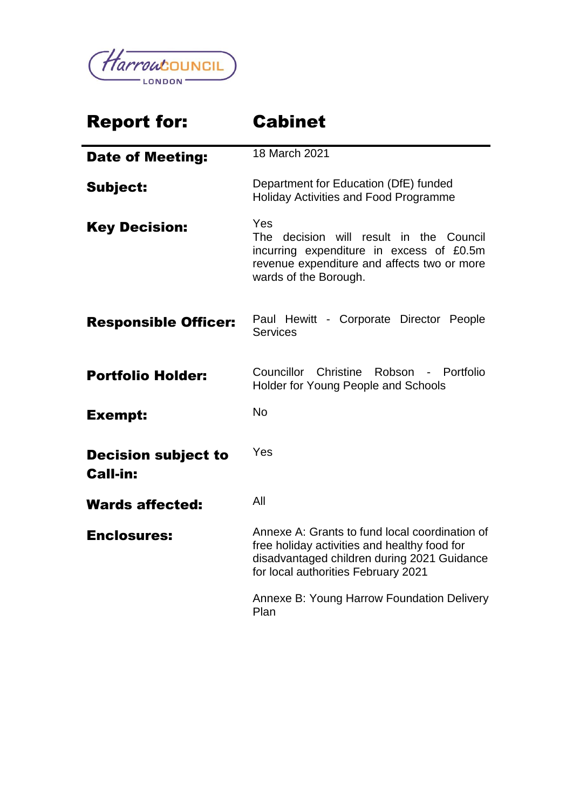

# Report for: Cabinet Date of Meeting: 18 March 2021 Subject: Department for Education (DfE) funded Holiday Activities and Food Programme Key Decision: Yes The decision will result in the Council incurring expenditure in excess of £0.5m revenue expenditure and affects two or more wards of the Borough. Responsible Officer: Paul Hewitt - Corporate Director People **Services Portfolio Holder:** Councillor Christine Robson - Portfolio Holder for Young People and Schools Exempt: No Decision subject to Call-in: Yes Wards affected: All Enclosures: Annexe A: Grants to fund local coordination of free holiday activities and healthy food for disadvantaged children during 2021 Guidance for local authorities February 2021 Annexe B: Young Harrow Foundation Delivery Plan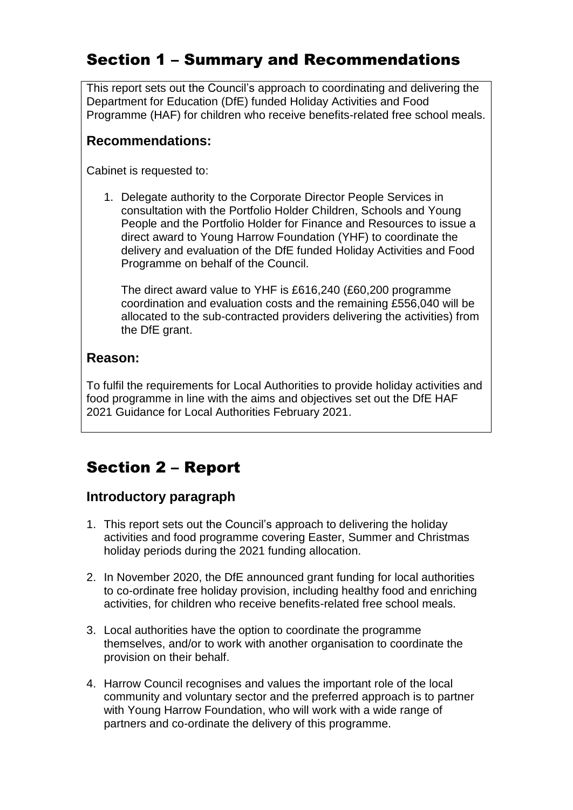## Section 1 – Summary and Recommendations

This report sets out the Council's approach to coordinating and delivering the Department for Education (DfE) funded Holiday Activities and Food Programme (HAF) for children who receive benefits-related free school meals.

#### **Recommendations:**

Cabinet is requested to:

1. Delegate authority to the Corporate Director People Services in consultation with the Portfolio Holder Children, Schools and Young People and the Portfolio Holder for Finance and Resources to issue a direct award to Young Harrow Foundation (YHF) to coordinate the delivery and evaluation of the DfE funded Holiday Activities and Food Programme on behalf of the Council.

The direct award value to YHF is £616,240 (£60,200 programme coordination and evaluation costs and the remaining £556,040 will be allocated to the sub-contracted providers delivering the activities) from the DfE grant.

#### **Reason:**

To fulfil the requirements for Local Authorities to provide holiday activities and food programme in line with the aims and objectives set out the DfE HAF 2021 Guidance for Local Authorities February 2021.

# Section 2 – Report

## **Introductory paragraph**

- 1. This report sets out the Council's approach to delivering the holiday activities and food programme covering Easter, Summer and Christmas holiday periods during the 2021 funding allocation.
- 2. In November 2020, the DfE announced grant funding for local authorities to co-ordinate free holiday provision, including healthy food and enriching activities, for children who receive benefits-related free school meals.
- 3. Local authorities have the option to coordinate the programme themselves, and/or to work with another organisation to coordinate the provision on their behalf.
- 4. Harrow Council recognises and values the important role of the local community and voluntary sector and the preferred approach is to partner with Young Harrow Foundation, who will work with a wide range of partners and co-ordinate the delivery of this programme.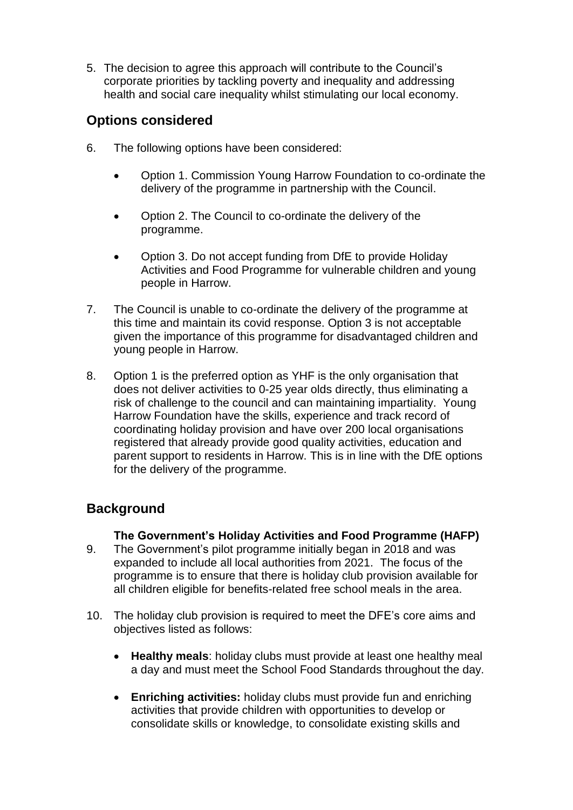5. The decision to agree this approach will contribute to the Council's corporate priorities by tackling poverty and inequality and addressing health and social care inequality whilst stimulating our local economy.

#### **Options considered**

- 6. The following options have been considered:
	- Option 1. Commission Young Harrow Foundation to co-ordinate the delivery of the programme in partnership with the Council.
	- Option 2. The Council to co-ordinate the delivery of the programme.
	- Option 3. Do not accept funding from DfE to provide Holiday Activities and Food Programme for vulnerable children and young people in Harrow.
- 7. The Council is unable to co-ordinate the delivery of the programme at this time and maintain its covid response. Option 3 is not acceptable given the importance of this programme for disadvantaged children and young people in Harrow.
- 8. Option 1 is the preferred option as YHF is the only organisation that does not deliver activities to 0-25 year olds directly, thus eliminating a risk of challenge to the council and can maintaining impartiality. Young Harrow Foundation have the skills, experience and track record of coordinating holiday provision and have over 200 local organisations registered that already provide good quality activities, education and parent support to residents in Harrow. This is in line with the DfE options for the delivery of the programme.

## **Background**

#### **The Government's Holiday Activities and Food Programme (HAFP)**

- 9. The Government's pilot programme initially began in 2018 and was expanded to include all local authorities from 2021. The focus of the programme is to ensure that there is holiday club provision available for all children eligible for benefits-related free school meals in the area.
- 10. The holiday club provision is required to meet the DFE's core aims and objectives listed as follows:
	- **Healthy meals**: holiday clubs must provide at least one healthy meal a day and must meet the School Food Standards throughout the day.
	- **Enriching activities:** holiday clubs must provide fun and enriching activities that provide children with opportunities to develop or consolidate skills or knowledge, to consolidate existing skills and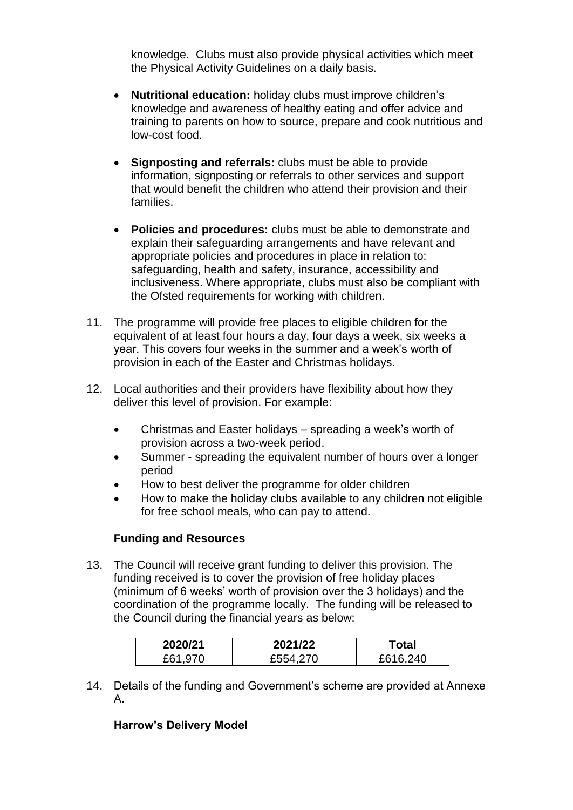knowledge. Clubs must also provide physical activities which meet the Physical Activity Guidelines on a daily basis.

- **Nutritional education:** holiday clubs must improve children's knowledge and awareness of healthy eating and offer advice and training to parents on how to source, prepare and cook nutritious and low-cost food.
- **Signposting and referrals:** clubs must be able to provide information, signposting or referrals to other services and support that would benefit the children who attend their provision and their families.
- **Policies and procedures:** clubs must be able to demonstrate and explain their safeguarding arrangements and have relevant and appropriate policies and procedures in place in relation to: safeguarding, health and safety, insurance, accessibility and inclusiveness. Where appropriate, clubs must also be compliant with the Ofsted requirements for working with children.
- 11. The programme will provide free places to eligible children for the equivalent of at least four hours a day, four days a week, six weeks a year. This covers four weeks in the summer and a week's worth of provision in each of the Easter and Christmas holidays.
- 12. Local authorities and their providers have flexibility about how they deliver this level of provision. For example:
	- Christmas and Easter holidays spreading a week's worth of provision across a two-week period.
	- Summer spreading the equivalent number of hours over a longer period
	- How to best deliver the programme for older children
	- How to make the holiday clubs available to any children not eligible for free school meals, who can pay to attend.

#### **Funding and Resources**

13. The Council will receive grant funding to deliver this provision. The funding received is to cover the provision of free holiday places (minimum of 6 weeks' worth of provision over the 3 holidays) and the coordination of the programme locally. The funding will be released to the Council during the financial years as below:

| 2020/21 | 2021/22  | Гоtal        |
|---------|----------|--------------|
| £61,970 | £554,270 | .240<br>£616 |

14. Details of the funding and Government's scheme are provided at Annexe A.

#### **Harrow's Delivery Model**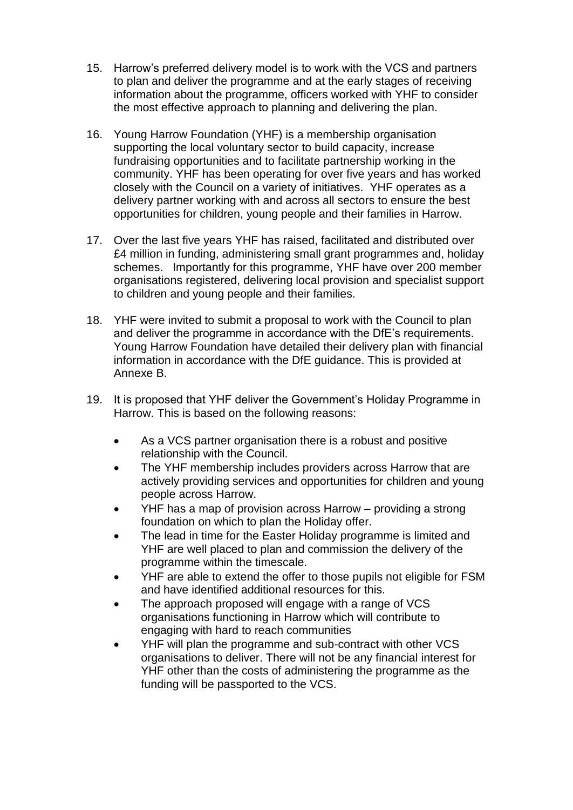- 15. Harrow's preferred delivery model is to work with the VCS and partners to plan and deliver the programme and at the early stages of receiving information about the programme, officers worked with YHF to consider the most effective approach to planning and delivering the plan.
- 16. Young Harrow Foundation (YHF) is a membership organisation supporting the local voluntary sector to build capacity, increase fundraising opportunities and to facilitate partnership working in the community. YHF has been operating for over five years and has worked closely with the Council on a variety of initiatives. YHF operates as a delivery partner working with and across all sectors to ensure the best opportunities for children, young people and their families in Harrow.
- 17. Over the last five years YHF has raised, facilitated and distributed over £4 million in funding, administering small grant programmes and, holiday schemes. Importantly for this programme, YHF have over 200 member organisations registered, delivering local provision and specialist support to children and young people and their families.
- 18. YHF were invited to submit a proposal to work with the Council to plan and deliver the programme in accordance with the DfE's requirements. Young Harrow Foundation have detailed their delivery plan with financial information in accordance with the DfE guidance. This is provided at Annexe B.
- 19. It is proposed that YHF deliver the Government's Holiday Programme in Harrow. This is based on the following reasons:
	- As a VCS partner organisation there is a robust and positive relationship with the Council.
	- The YHF membership includes providers across Harrow that are actively providing services and opportunities for children and young people across Harrow.
	- YHF has a map of provision across Harrow providing a strong foundation on which to plan the Holiday offer.
	- The lead in time for the Easter Holiday programme is limited and YHF are well placed to plan and commission the delivery of the programme within the timescale.
	- YHF are able to extend the offer to those pupils not eligible for FSM and have identified additional resources for this.
	- The approach proposed will engage with a range of VCS organisations functioning in Harrow which will contribute to engaging with hard to reach communities
	- YHF will plan the programme and sub-contract with other VCS organisations to deliver. There will not be any financial interest for YHF other than the costs of administering the programme as the funding will be passported to the VCS.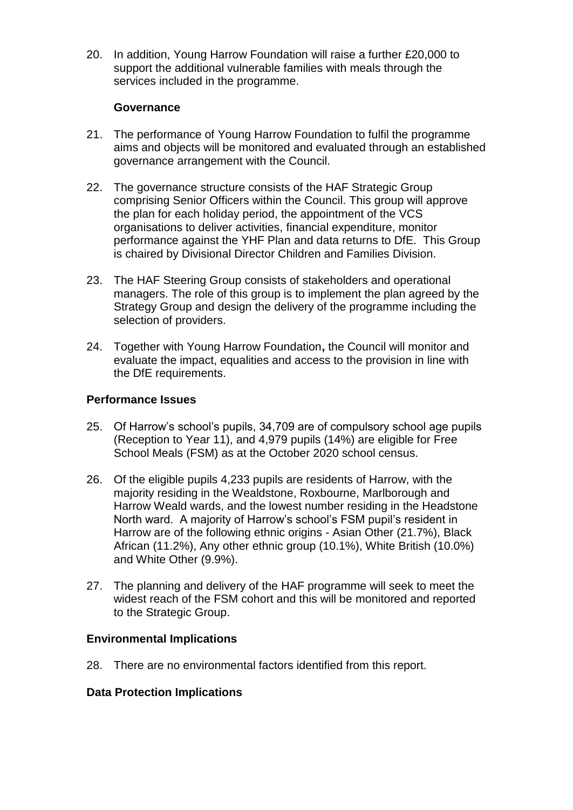20. In addition, Young Harrow Foundation will raise a further £20,000 to support the additional vulnerable families with meals through the services included in the programme.

#### **Governance**

- 21. The performance of Young Harrow Foundation to fulfil the programme aims and objects will be monitored and evaluated through an established governance arrangement with the Council.
- 22. The governance structure consists of the HAF Strategic Group comprising Senior Officers within the Council. This group will approve the plan for each holiday period, the appointment of the VCS organisations to deliver activities, financial expenditure, monitor performance against the YHF Plan and data returns to DfE. This Group is chaired by Divisional Director Children and Families Division.
- 23. The HAF Steering Group consists of stakeholders and operational managers. The role of this group is to implement the plan agreed by the Strategy Group and design the delivery of the programme including the selection of providers.
- 24. Together with Young Harrow Foundation**,** the Council will monitor and evaluate the impact, equalities and access to the provision in line with the DfE requirements.

#### **Performance Issues**

- 25. Of Harrow's school's pupils, 34,709 are of compulsory school age pupils (Reception to Year 11), and 4,979 pupils (14%) are eligible for Free School Meals (FSM) as at the October 2020 school census.
- 26. Of the eligible pupils 4,233 pupils are residents of Harrow, with the majority residing in the Wealdstone, Roxbourne, Marlborough and Harrow Weald wards, and the lowest number residing in the Headstone North ward. A majority of Harrow's school's FSM pupil's resident in Harrow are of the following ethnic origins - Asian Other (21.7%), Black African (11.2%), Any other ethnic group (10.1%), White British (10.0%) and White Other (9.9%).
- 27. The planning and delivery of the HAF programme will seek to meet the widest reach of the FSM cohort and this will be monitored and reported to the Strategic Group.

#### **Environmental Implications**

28. There are no environmental factors identified from this report.

#### **Data Protection Implications**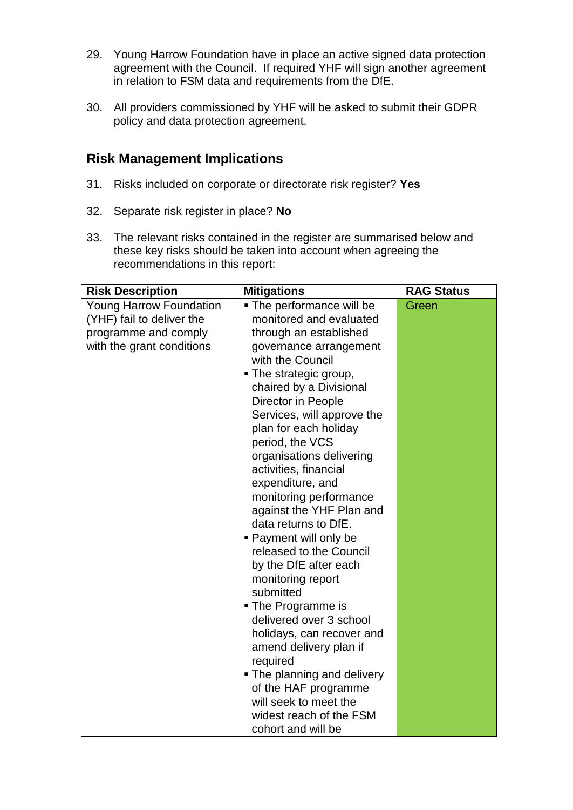- 29. Young Harrow Foundation have in place an active signed data protection agreement with the Council. If required YHF will sign another agreement in relation to FSM data and requirements from the DfE.
- 30. All providers commissioned by YHF will be asked to submit their GDPR policy and data protection agreement.

### **Risk Management Implications**

- 31. Risks included on corporate or directorate risk register? **Yes**
- 32. Separate risk register in place? **No**
- 33. The relevant risks contained in the register are summarised below and these key risks should be taken into account when agreeing the recommendations in this report: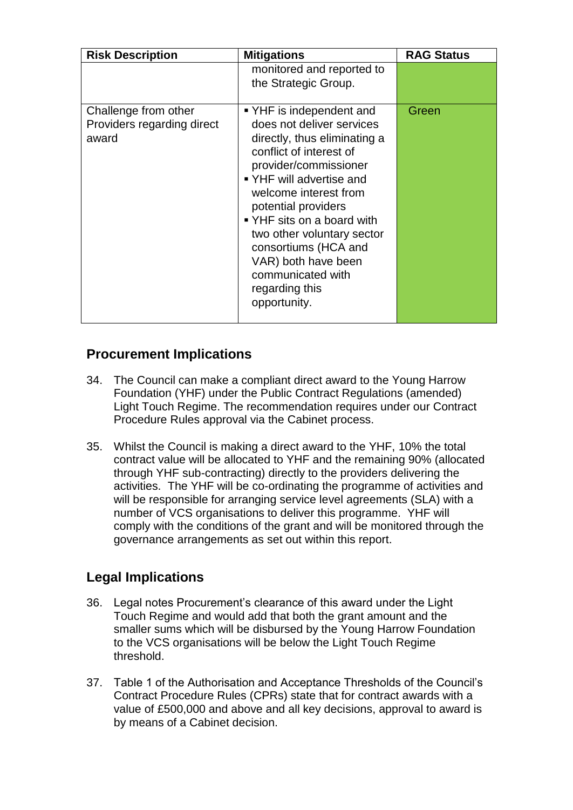| <b>Risk Description</b>                                     | <b>Mitigations</b>                                                                                                                                                                                                                                                                                                                                                                      | <b>RAG Status</b> |
|-------------------------------------------------------------|-----------------------------------------------------------------------------------------------------------------------------------------------------------------------------------------------------------------------------------------------------------------------------------------------------------------------------------------------------------------------------------------|-------------------|
|                                                             | monitored and reported to<br>the Strategic Group.                                                                                                                                                                                                                                                                                                                                       |                   |
| Challenge from other<br>Providers regarding direct<br>award | ■ YHF is independent and<br>does not deliver services<br>directly, thus eliminating a<br>conflict of interest of<br>provider/commissioner<br>■ YHF will advertise and<br>welcome interest from<br>potential providers<br>■ YHF sits on a board with<br>two other voluntary sector<br>consortiums (HCA and<br>VAR) both have been<br>communicated with<br>regarding this<br>opportunity. | Green             |

## **Procurement Implications**

- 34. The Council can make a compliant direct award to the Young Harrow Foundation (YHF) under the Public Contract Regulations (amended) Light Touch Regime. The recommendation requires under our Contract Procedure Rules approval via the Cabinet process.
- 35. Whilst the Council is making a direct award to the YHF, 10% the total contract value will be allocated to YHF and the remaining 90% (allocated through YHF sub-contracting) directly to the providers delivering the activities. The YHF will be co-ordinating the programme of activities and will be responsible for arranging service level agreements (SLA) with a number of VCS organisations to deliver this programme. YHF will comply with the conditions of the grant and will be monitored through the governance arrangements as set out within this report.

## **Legal Implications**

- 36. Legal notes Procurement's clearance of this award under the Light Touch Regime and would add that both the grant amount and the smaller sums which will be disbursed by the Young Harrow Foundation to the VCS organisations will be below the Light Touch Regime threshold.
- 37. Table 1 of the Authorisation and Acceptance Thresholds of the Council's Contract Procedure Rules (CPRs) state that for contract awards with a value of £500,000 and above and all key decisions, approval to award is by means of a Cabinet decision.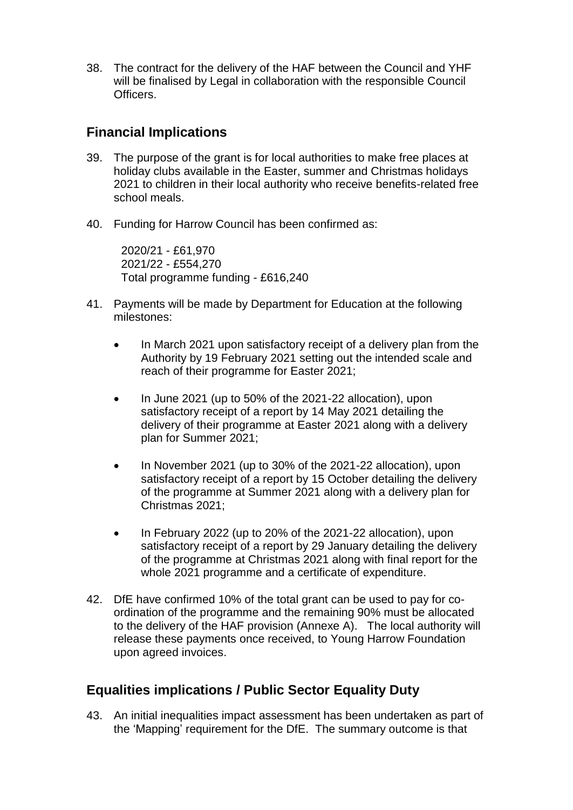38. The contract for the delivery of the HAF between the Council and YHF will be finalised by Legal in collaboration with the responsible Council **Officers** 

#### **Financial Implications**

- 39. The purpose of the grant is for local authorities to make free places at holiday clubs available in the Easter, summer and Christmas holidays 2021 to children in their local authority who receive benefits-related free school meals.
- 40. Funding for Harrow Council has been confirmed as:

2020/21 - £61,970 2021/22 - £554,270 Total programme funding - £616,240

- 41. Payments will be made by Department for Education at the following milestones:
	- In March 2021 upon satisfactory receipt of a delivery plan from the Authority by 19 February 2021 setting out the intended scale and reach of their programme for Easter 2021;
	- In June 2021 (up to 50% of the 2021-22 allocation), upon satisfactory receipt of a report by 14 May 2021 detailing the delivery of their programme at Easter 2021 along with a delivery plan for Summer 2021;
	- In November 2021 (up to 30% of the 2021-22 allocation), upon satisfactory receipt of a report by 15 October detailing the delivery of the programme at Summer 2021 along with a delivery plan for Christmas 2021;
	- In February 2022 (up to 20% of the 2021-22 allocation), upon satisfactory receipt of a report by 29 January detailing the delivery of the programme at Christmas 2021 along with final report for the whole 2021 programme and a certificate of expenditure.
- 42. DfE have confirmed 10% of the total grant can be used to pay for coordination of the programme and the remaining 90% must be allocated to the delivery of the HAF provision (Annexe A). The local authority will release these payments once received, to Young Harrow Foundation upon agreed invoices.

## **Equalities implications / Public Sector Equality Duty**

43. An initial inequalities impact assessment has been undertaken as part of the 'Mapping' requirement for the DfE. The summary outcome is that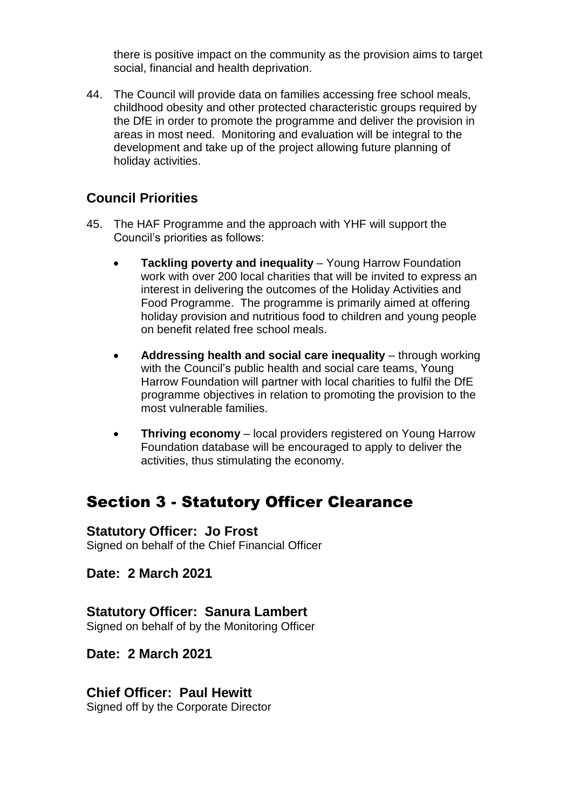there is positive impact on the community as the provision aims to target social, financial and health deprivation.

44. The Council will provide data on families accessing free school meals, childhood obesity and other protected characteristic groups required by the DfE in order to promote the programme and deliver the provision in areas in most need. Monitoring and evaluation will be integral to the development and take up of the project allowing future planning of holiday activities.

## **Council Priorities**

- 45. The HAF Programme and the approach with YHF will support the Council's priorities as follows:
	- **Tackling poverty and inequality** Young Harrow Foundation work with over 200 local charities that will be invited to express an interest in delivering the outcomes of the Holiday Activities and Food Programme. The programme is primarily aimed at offering holiday provision and nutritious food to children and young people on benefit related free school meals.
	- **Addressing health and social care inequality** through working with the Council's public health and social care teams, Young Harrow Foundation will partner with local charities to fulfil the DfE programme objectives in relation to promoting the provision to the most vulnerable families.
	- **Thriving economy** local providers registered on Young Harrow Foundation database will be encouraged to apply to deliver the activities, thus stimulating the economy.

## Section 3 - Statutory Officer Clearance

#### **Statutory Officer: Jo Frost**

Signed on behalf of the Chief Financial Officer

#### **Date: 2 March 2021**

#### **Statutory Officer: Sanura Lambert**

Signed on behalf of by the Monitoring Officer

#### **Date: 2 March 2021**

## **Chief Officer: Paul Hewitt**

Signed off by the Corporate Director